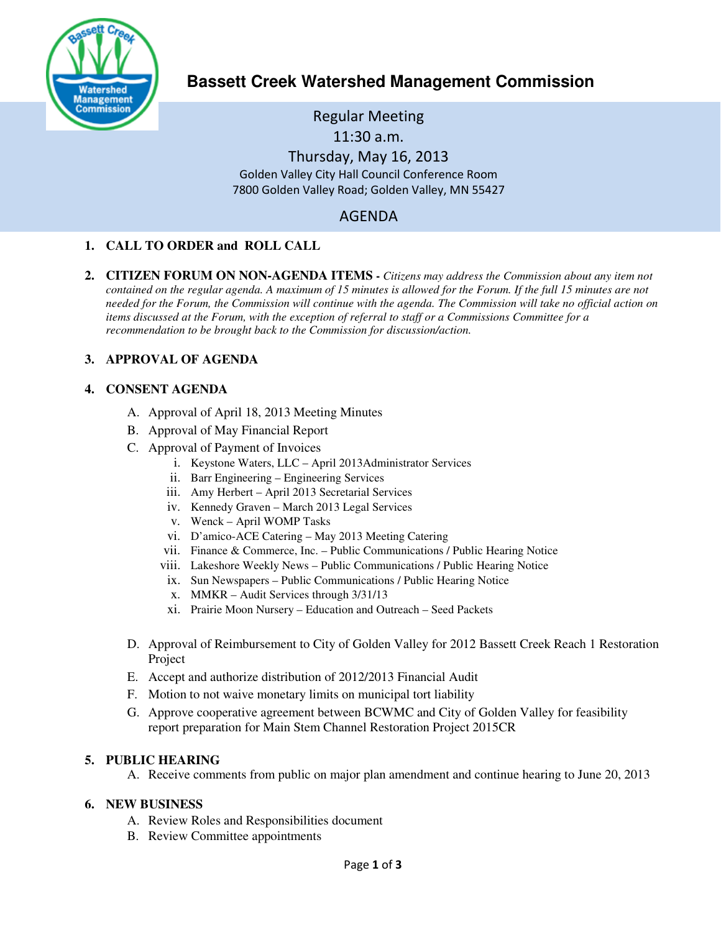

**Bassett Creek Watershed Management Commission** 

Regular Meeting 11:30 a.m. Thursday, May 16, 2013 Golden Valley City Hall Council Conference Room 7800 Golden Valley Road; Golden Valley, MN 55427

# AGENDA

# **1. CALL TO ORDER and ROLL CALL**

**2. CITIZEN FORUM ON NON-AGENDA ITEMS -** *Citizens may address the Commission about any item not contained on the regular agenda. A maximum of 15 minutes is allowed for the Forum. If the full 15 minutes are not needed for the Forum, the Commission will continue with the agenda. The Commission will take no official action on items discussed at the Forum, with the exception of referral to staff or a Commissions Committee for a recommendation to be brought back to the Commission for discussion/action.*

# **3. APPROVAL OF AGENDA**

#### **4. CONSENT AGENDA**

- A. Approval of April 18, 2013 Meeting Minutes
- B. Approval of May Financial Report
- C. Approval of Payment of Invoices
	- i. Keystone Waters, LLC April 2013Administrator Services
	- ii. Barr Engineering Engineering Services
	- iii. Amy Herbert April 2013 Secretarial Services
	- iv. Kennedy Graven March 2013 Legal Services
	- v. Wenck April WOMP Tasks
	- vi. D'amico-ACE Catering May 2013 Meeting Catering
	- vii. Finance & Commerce, Inc. Public Communications / Public Hearing Notice
	- viii. Lakeshore Weekly News Public Communications / Public Hearing Notice
	- ix. Sun Newspapers Public Communications / Public Hearing Notice
	- x. MMKR Audit Services through 3/31/13
	- xi. Prairie Moon Nursery Education and Outreach Seed Packets
- D. Approval of Reimbursement to City of Golden Valley for 2012 Bassett Creek Reach 1 Restoration Project
- E. Accept and authorize distribution of 2012/2013 Financial Audit
- F. Motion to not waive monetary limits on municipal tort liability
- G. Approve cooperative agreement between BCWMC and City of Golden Valley for feasibility report preparation for Main Stem Channel Restoration Project 2015CR

#### **5. PUBLIC HEARING**

A. Receive comments from public on major plan amendment and continue hearing to June 20, 2013

#### **6. NEW BUSINESS**

- A. Review Roles and Responsibilities document
- B. Review Committee appointments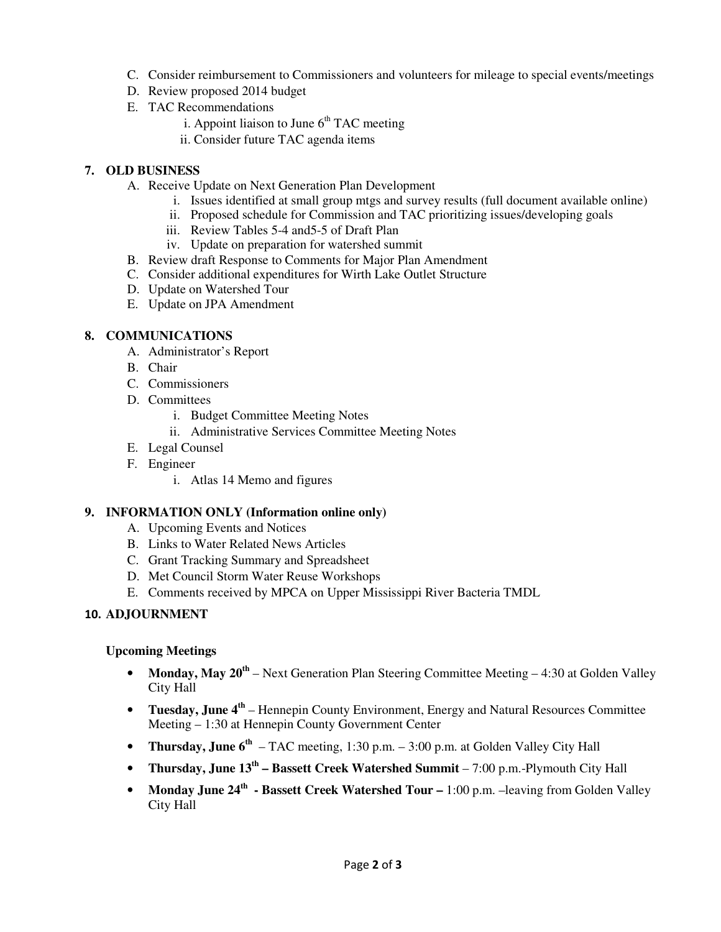- C. Consider reimbursement to Commissioners and volunteers for mileage to special events/meetings
- D. Review proposed 2014 budget
- E. TAC Recommendations
	- i. Appoint liaison to June  $6<sup>th</sup> TAC$  meeting
	- ii. Consider future TAC agenda items

#### **7. OLD BUSINESS**

- A. Receive Update on Next Generation Plan Development
	- i. Issues identified at small group mtgs and survey results (full document available online)
	- ii. Proposed schedule for Commission and TAC prioritizing issues/developing goals
	- iii. Review Tables 5-4 and5-5 of Draft Plan
	- iv. Update on preparation for watershed summit
- B. Review draft Response to Comments for Major Plan Amendment
- C. Consider additional expenditures for Wirth Lake Outlet Structure
- D. Update on Watershed Tour
- E. Update on JPA Amendment

#### **8. COMMUNICATIONS**

- A. Administrator's Report
- B. Chair
- C. Commissioners
- D. Committees
	- i. Budget Committee Meeting Notes
	- ii. Administrative Services Committee Meeting Notes
- E. Legal Counsel
- F. Engineer
	- i. Atlas 14 Memo and figures

# **9. INFORMATION ONLY (Information online only)**

- A. Upcoming Events and Notices
- B. Links to Water Related News Articles
- C. Grant Tracking Summary and Spreadsheet
- D. Met Council Storm Water Reuse Workshops
- E. Comments received by MPCA on Upper Mississippi River Bacteria TMDL

# 10. **ADJOURNMENT**

#### **Upcoming Meetings**

- **Monday, May 20<sup>th</sup>** Next Generation Plan Steering Committee Meeting 4:30 at Golden Valley City Hall
- **Tuesday, June 4th** Hennepin County Environment, Energy and Natural Resources Committee Meeting – 1:30 at Hennepin County Government Center
- **Thursday, June 6<sup>th</sup>** TAC meeting, 1:30 p.m. 3:00 p.m. at Golden Valley City Hall
- **Thursday, June 13th Bassett Creek Watershed Summit**  7:00 p.m.-Plymouth City Hall
- Monday June 24<sup>th</sup> Bassett Creek Watershed Tour 1:00 p.m. –leaving from Golden Valley City Hall